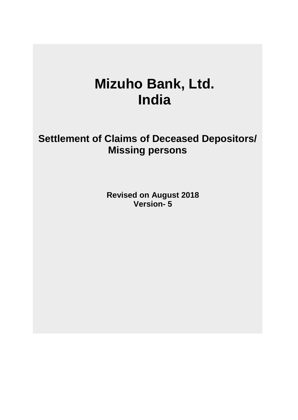# **Mizuho Bank, Ltd. India**

**Settlement of Claims of Deceased Depositors/ Missing persons**

> **Revised on August 2018 Version- 5**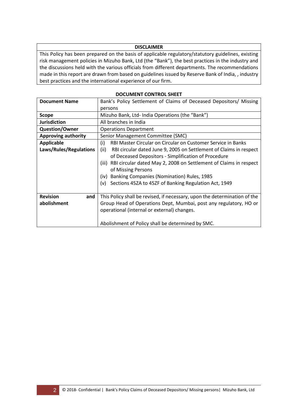## **DISCLAIMER**

This Policy has been prepared on the basis of applicable regulatory/statutory guidelines, existing risk management policies in Mizuho Bank, Ltd (the "Bank"), the best practices in the industry and the discussions held with the various officials from different departments. The recommendations made in this report are drawn from based on guidelines issued by Reserve Bank of India, , industry best practices and the international experience of our firm.

| <b>Document Name</b>   | Bank's Policy Settlement of Claims of Deceased Depositors/ Missing         |  |  |  |  |  |  |
|------------------------|----------------------------------------------------------------------------|--|--|--|--|--|--|
|                        | persons                                                                    |  |  |  |  |  |  |
| <b>Scope</b>           | Mizuho Bank, Ltd- India Operations (the "Bank")                            |  |  |  |  |  |  |
| <b>Jurisdiction</b>    | All branches in India                                                      |  |  |  |  |  |  |
| <b>Question/Owner</b>  | <b>Operations Department</b>                                               |  |  |  |  |  |  |
| Approving authority    | Senior Management Committee (SMC)                                          |  |  |  |  |  |  |
| <b>Applicable</b>      | RBI Master Circular on Circular on Customer Service in Banks<br>(i)        |  |  |  |  |  |  |
| Laws/Rules/Regulations | (ii)<br>RBI circular dated June 9, 2005 on Settlement of Claims in respect |  |  |  |  |  |  |
|                        | of Deceased Depositors - Simplification of Procedure                       |  |  |  |  |  |  |
|                        | RBI circular dated May 2, 2008 on Settlement of Claims in respect<br>(iii) |  |  |  |  |  |  |
|                        | of Missing Persons                                                         |  |  |  |  |  |  |
|                        | Banking Companies (Nomination) Rules, 1985<br>(iv)                         |  |  |  |  |  |  |
|                        | Sections 45ZA to 45ZF of Banking Regulation Act, 1949<br>(v)               |  |  |  |  |  |  |
|                        |                                                                            |  |  |  |  |  |  |
| <b>Revision</b><br>and | This Policy shall be revised, if necessary, upon the determination of the  |  |  |  |  |  |  |
| abolishment            | Group Head of Operations Dept, Mumbai, post any regulatory, HO or          |  |  |  |  |  |  |
|                        | operational (internal or external) changes.                                |  |  |  |  |  |  |
|                        |                                                                            |  |  |  |  |  |  |
|                        | Abolishment of Policy shall be determined by SMC.                          |  |  |  |  |  |  |

#### **DOCUMENT CONTROL SHEET**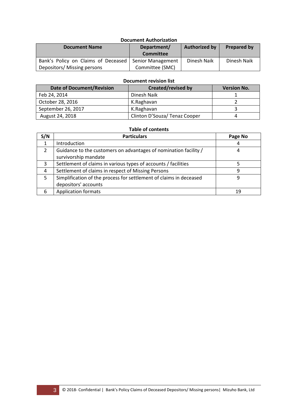# **Document Authorization**

| <b>Document Name</b>                | Department/              | <b>Authorized by</b> | <b>Prepared by</b> |  |
|-------------------------------------|--------------------------|----------------------|--------------------|--|
|                                     | <b>Committee</b>         |                      |                    |  |
| Bank's Policy on Claims of Deceased | <b>Senior Management</b> | Dinesh Naik          | Dinesh Naik        |  |
| Depositors/ Missing persons         | Committee (SMC)          |                      |                    |  |

#### **Document revision list**

| <b>Date of Document/Revision</b> | <b>Created/revised by</b>     | <b>Version No.</b> |
|----------------------------------|-------------------------------|--------------------|
| Feb 24, 2014                     | Dinesh Naik                   |                    |
| October 28, 2016                 | K.Raghavan                    |                    |
| September 26, 2017               | K.Raghavan                    |                    |
| August 24, 2018                  | Clinton D'Souza/ Tenaz Cooper |                    |

## **Table of contents**

| S/N | <b>Particulars</b>                                                 | Page No |
|-----|--------------------------------------------------------------------|---------|
| 1   | Introduction                                                       |         |
| 2   | Guidance to the customers on advantages of nomination facility /   |         |
|     | survivorship mandate                                               |         |
| 3   | Settlement of claims in various types of accounts / facilities     |         |
| 4   | Settlement of claims in respect of Missing Persons                 | q       |
| 5   | Simplification of the process for settlement of claims in deceased | q       |
|     | depositors' accounts                                               |         |
| 6   | <b>Application formats</b>                                         | 19      |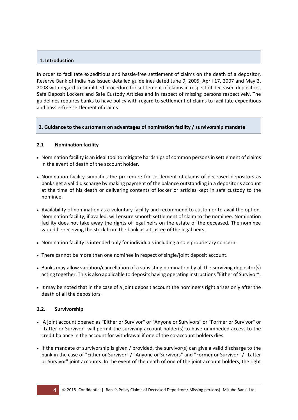## **1. Introduction**

In order to facilitate expeditious and hassle-free settlement of claims on the death of a depositor, Reserve Bank of India has issued detailed guidelines dated June 9, 2005, April 17, 2007 and May 2, 2008 with regard to simplified procedure for settlement of claims in respect of deceased depositors, Safe Deposit Lockers and Safe Custody Articles and in respect of missing persons respectively. The guidelines requires banks to have policy with regard to settlement of claims to facilitate expeditious and hassle-free settlement of claims.

## **2. Guidance to the customers on advantages of nomination facility / survivorship mandate**

## **2.1 Nomination facility**

- Nomination facility is an ideal tool to mitigate hardships of common persons in settlement of claims in the event of death of the account holder.
- Nomination facility simplifies the procedure for settlement of claims of deceased depositors as banks get a valid discharge by making payment of the balance outstanding in a depositor's account at the time of his death or delivering contents of locker or articles kept in safe custody to the nominee.
- Availability of nomination as a voluntary facility and recommend to customer to avail the option. Nomination facility, if availed, will ensure smooth settlement of claim to the nominee. Nomination facility does not take away the rights of legal heirs on the estate of the deceased. The nominee would be receiving the stock from the bank as a trustee of the legal heirs.
- Nomination facility is intended only for individuals including a sole proprietary concern.
- There cannot be more than one nominee in respect of single/joint deposit account.
- Banks may allow variation/cancellation of a subsisting nomination by all the surviving depositor(s) acting together. This is also applicable to deposits having operating instructions "Either of Survivor".
- It may be noted that in the case of a joint deposit account the nominee's right arises only after the death of all the depositors.

## **2.2. Survivorship**

- A joint account opened as "Either or Survivor" or "Anyone or Survivors" or "Former or Survivor" or "Latter or Survivor" will permit the surviving account holder(s) to have unimpeded access to the credit balance in the account for withdrawal if one of the co-account holders dies.
- If the mandate of survivorship is given / provided, the survivor(s) can give a valid discharge to the bank in the case of "Either or Survivor" / "Anyone or Survivors" and "Former or Survivor" / "Latter or Survivor" joint accounts. In the event of the death of one of the joint account holders, the right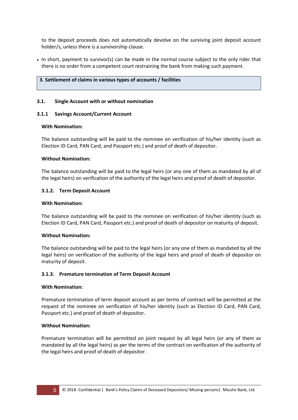to the deposit proceeds does not automatically devolve on the surviving joint deposit account holder/s, unless there is a survivorship clause.

• In short, payment to survivor(s) can be made in the normal course subject to the only rider that there is no order from a competent court restraining the bank from making such payment.

#### **3. Settlement of claims in various types of accounts / facilities**

#### **3.1. Single Account with or without nomination**

#### **3.1.1 Savings Account/Current Account**

#### **With Nomination:**

The balance outstanding will be paid to the nominee on verification of his/her identity (such as Election ID Card, PAN Card, and Passport etc.) and proof of death of depositor.

#### **Without Nomination:**

The balance outstanding will be paid to the legal heirs (or any one of them as mandated by all of the legal heirs) on verification of the authority of the legal heirs and proof of death of depositor.

#### **3.1.2. Term Deposit Account**

#### **With Nomination:**

The balance outstanding will be paid to the nominee on verification of his/her identity (such as Election ID Card, PAN Card, Passport etc.) and proof of death of depositor on maturity of deposit.

## **Without Nomination:**

The balance outstanding will be paid to the legal heirs (or any one of them as mandated by all the legal heirs) on verification of the authority of the legal heirs and proof of death of depositor on maturity of deposit.

## **3.1.3. Premature termination of Term Deposit Account**

#### **With Nomination:**

Premature termination of term deposit account as per terms of contract will be permitted at the request of the nominee on verification of his/her identity (such as Election ID Card, PAN Card, Passport etc.) and proof of death of depositor.

#### **Without Nomination:**

Premature termination will be permitted on joint request by all legal heirs (or any of them as mandated by all the legal heirs) as per the terms of the contract on verification of the authority of the legal heirs and proof of death of depositor.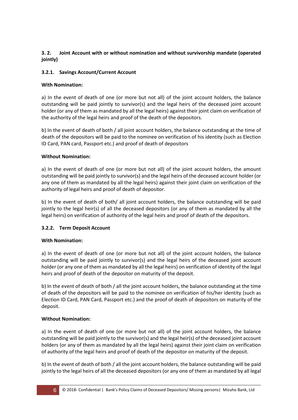# **3. 2. Joint Account with or without nomination and without survivorship mandate (operated jointly)**

# **3.2.1. Savings Account/Current Account**

# **With Nomination:**

a) In the event of death of one (or more but not all) of the joint account holders, the balance outstanding will be paid jointly to survivor(s) and the legal heirs of the deceased joint account holder (or any of them as mandated by all the legal heirs) against their joint claim on verification of the authority of the legal heirs and proof of the death of the depositors.

b) In the event of death of both / all joint account holders, the balance outstanding at the time of death of the depositors will be paid to the nominee on verification of his identity (such as Election ID Card, PAN card, Passport etc.) and proof of death of depositors

# **Without Nomination:**

a) In the event of death of one (or more but not all) of the joint account holders, the amount outstanding will be paid jointly to survivor(s) and the legal heirs of the deceased account holder (or any one of them as mandated by all the legal heirs) against their joint claim on verification of the authority of legal heirs and proof of death of depositor.

b) In the event of death of both/ all joint account holders, the balance outstanding will be paid jointly to the legal heir(s) of all the deceased depositors (or any of them as mandated by all the legal heirs) on verification of authority of the legal heirs and proof of death of the depositors.

# **3.2.2. Term Deposit Account**

# **With Nomination:**

a) In the event of death of one (or more but not all) of the joint account holders, the balance outstanding will be paid jointly to survivor(s) and the legal heirs of the deceased joint account holder (or any one of them as mandated by all the legal heirs) on verification of identity of the legal heirs and proof of death of the depositor on maturity of the deposit.

b) In the event of death of both / all the joint account holders, the balance outstanding at the time of death of the depositors will be paid to the nominee on verification of his/her identity (such as Election ID Card, PAN Card, Passport etc.) and the proof of death of depositors on maturity of the deposit.

# **Without Nomination:**

a) In the event of death of one (or more but not all) of the joint account holders, the balance outstanding will be paid jointly to the survivor(s) and the legal heir(s) of the deceased joint account holders (or any of them as mandated by all the legal heirs) against their joint claim on verification of authority of the legal heirs and proof of death of the depositor on maturity of the deposit.

b) In the event of death of both / all the joint account holders, the balance outstanding will be paid jointly to the legal heirs of all the deceased depositors (or any one of them as mandated by all legal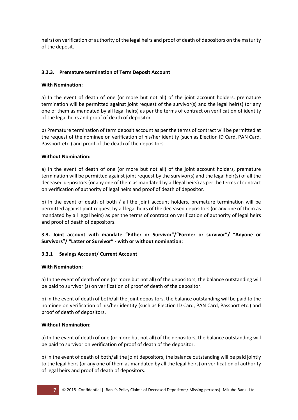heirs) on verification of authority of the legal heirs and proof of death of depositors on the maturity of the deposit.

## **3.2.3. Premature termination of Term Deposit Account**

## **With Nomination:**

a) In the event of death of one (or more but not all) of the joint account holders, premature termination will be permitted against joint request of the survivor(s) and the legal heir(s) (or any one of them as mandated by all legal heirs) as per the terms of contract on verification of identity of the legal heirs and proof of death of depositor.

b) Premature termination of term deposit account as per the terms of contract will be permitted at the request of the nominee on verification of his/her identity (such as Election ID Card, PAN Card, Passport etc.) and proof of the death of the depositors.

## **Without Nomination:**

a) In the event of death of one (or more but not all) of the joint account holders, premature termination will be permitted against joint request by the survivor(s) and the legal heir(s) of all the deceased depositors (or any one of them as mandated by all legal heirs) as per the terms of contract on verification of authority of legal heirs and proof of death of depositor.

b) In the event of death of both / all the joint account holders, premature termination will be permitted against joint request by all legal heirs of the deceased depositors (or any one of them as mandated by all legal heirs) as per the terms of contract on verification of authority of legal heirs and proof of death of depositors.

**3.3. Joint account with mandate "Either or Survivor"/"Former or survivor"/ "Anyone or Survivors"/ "Latter or Survivor" - with or without nomination:** 

# **3.3.1 Savings Account/ Current Account**

## **With Nomination:**

a) In the event of death of one (or more but not all) of the depositors, the balance outstanding will be paid to survivor (s) on verification of proof of death of the depositor.

b) In the event of death of both/all the joint depositors, the balance outstanding will be paid to the nominee on verification of his/her identity (such as Election ID Card, PAN Card, Passport etc.) and proof of death of depositors.

## **Without Nomination**:

a) In the event of death of one (or more but not all) of the depositors, the balance outstanding will be paid to survivor on verification of proof of death of the depositor.

b) In the event of death of both/all the joint depositors, the balance outstanding will be paid jointly to the legal heirs (or any one of them as mandated by all the legal heirs) on verification of authority of legal heirs and proof of death of depositors.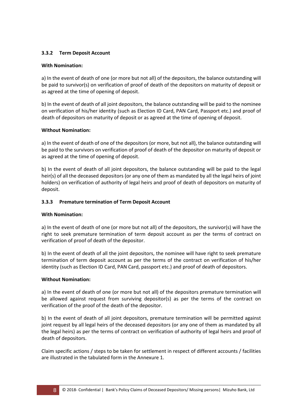# **3.3.2 Term Deposit Account**

## **With Nomination:**

a) In the event of death of one (or more but not all) of the depositors, the balance outstanding will be paid to survivor(s) on verification of proof of death of the depositors on maturity of deposit or as agreed at the time of opening of deposit.

b) In the event of death of all joint depositors, the balance outstanding will be paid to the nominee on verification of his/her identity (such as Election ID Card, PAN Card, Passport etc.) and proof of death of depositors on maturity of deposit or as agreed at the time of opening of deposit.

## **Without Nomination:**

a) In the event of death of one of the depositors (or more, but not all), the balance outstanding will be paid to the survivors on verification of proof of death of the depositor on maturity of deposit or as agreed at the time of opening of deposit.

b) In the event of death of all joint depositors, the balance outstanding will be paid to the legal heir(s) of all the deceased depositors (or any one of them as mandated by all the legal heirs of joint holders) on verification of authority of legal heirs and proof of death of depositors on maturity of deposit.

# **3.3.3 Premature termination of Term Deposit Account**

## **With Nomination:**

a) In the event of death of one (or more but not all) of the depositors, the survivor(s) will have the right to seek premature termination of term deposit account as per the terms of contract on verification of proof of death of the depositor.

b) In the event of death of all the joint depositors, the nominee will have right to seek premature termination of term deposit account as per the terms of the contract on verification of his/her identity (such as Election ID Card, PAN Card, passport etc.) and proof of death of depositors.

## **Without Nomination:**

a) In the event of death of one (or more but not all) of the depositors premature termination will be allowed against request from surviving depositor(s) as per the terms of the contract on verification of the proof of the death of the depositor.

b) In the event of death of all joint depositors, premature termination will be permitted against joint request by all legal heirs of the deceased depositors (or any one of them as mandated by all the legal heirs) as per the terms of contract on verification of authority of legal heirs and proof of death of depositors.

Claim specific actions / steps to be taken for settlement in respect of different accounts / facilities are illustrated in the tabulated form in the Annexure 1.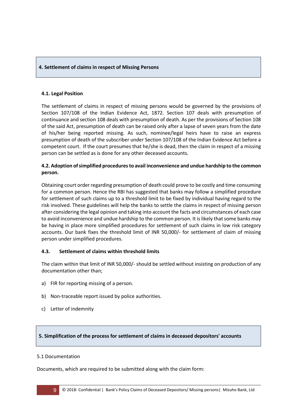## **4. Settlement of claims in respect of Missing Persons**

## **4.1. Legal Position**

The settlement of claims in respect of missing persons would be governed by the provisions of Section 107/108 of the Indian Evidence Act, 1872. Section 107 deals with presumption of continuance and section 108 deals with presumption of death. As per the provisions of Section 108 of the said Act, presumption of death can be raised only after a lapse of seven years from the date of his/her being reported missing. As such, nominee/legal heirs have to raise an express presumption of death of the subscriber under Section 107/108 of the Indian Evidence Act before a competent court. If the court presumes that he/she is dead, then the claim in respect of a missing person can be settled as is done for any other deceased accounts.

# **4.2. Adoption of simplified procedures to avail inconvenience and undue hardship to the common person.**

Obtaining court order regarding presumption of death could prove to be costly and time consuming for a common person. Hence the RBI has suggested that banks may follow a simplified procedure for settlement of such claims up to a threshold limit to be fixed by individual having regard to the risk involved. These guidelines will help the banks to settle the claims in respect of missing person after considering the legal opinion and taking into account the facts and circumstances of each case to avoid inconvenience and undue hardship to the common person. It is likely that some banks may be having in place more simplified procedures for settlement of such claims in low risk category accounts. Our bank fixes the threshold limit of INR 50,000/- for settlement of claim of missing person under simplified procedures.

# **4.3. Settlement of claims within threshold limits**

The claim within that limit of INR 50,000/- should be settled without insisting on production of any documentation other than;

- a) FIR for reporting missing of a person.
- b) Non-traceable report issued by police authorities.
- c) Letter of indemnity

# **5. Simplification of the process for settlement of claims in deceased depositors' accounts**

## 5.1 Documentation

Documents, which are required to be submitted along with the claim form: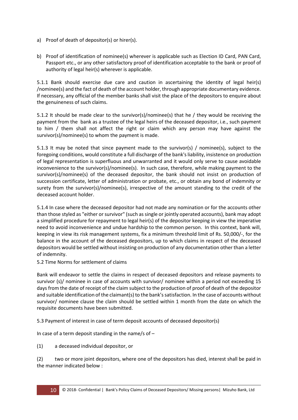- a) Proof of death of depositor(s) or hirer(s).
- b) Proof of identification of nominee(s) wherever is applicable such as Election ID Card, PAN Card, Passport etc., or any other satisfactory proof of identification acceptable to the bank or proof of authority of legal heir(s) wherever is applicable.

5.1.1 Bank should exercise due care and caution in ascertaining the identity of legal heir(s) /nominee(s) and the fact of death of the account holder, through appropriate documentary evidence. If necessary, any official of the member banks shall visit the place of the depositors to enquire about the genuineness of such claims.

5.1.2 It should be made clear to the survivor(s)/nominee(s) that he / they would be receiving the payment from the bank as a trustee of the legal heirs of the deceased depositor, i.e., such payment to him / them shall not affect the right or claim which any person may have against the survivor(s)/nominee(s) to whom the payment is made.

5.1.3 It may be noted that since payment made to the survivor(s) / nominee(s), subject to the foregoing conditions, would constitute a full discharge of the bank's liability, insistence on production of legal representation is superfluous and unwarranted and it would only serve to cause avoidable inconvenience to the survivor(s)/nominee(s). In such case, therefore, while making payment to the survivor(s)/nominee(s) of the deceased depositor, the bank should not insist on production of succession certificate, letter of administration or probate, etc., or obtain any bond of indemnity or surety from the survivor(s)/nominee(s), irrespective of the amount standing to the credit of the deceased account holder.

5.1.4 In case where the deceased depositor had not made any nomination or for the accounts other than those styled as "either or survivor" (such as single or jointly operated accounts), bank may adopt a simplified procedure for repayment to legal heir(s) of the depositor keeping in view the imperative need to avoid inconvenience and undue hardship to the common person. In this context, bank will, keeping in view its risk management systems, fix a minimum threshold limit of Rs. 50,000/-, for the balance in the account of the deceased depositors, up to which claims in respect of the deceased depositors would be settled without insisting on production of any documentation other than a letter of indemnity.

5.2 Time Norms for settlement of claims

Bank will endeavor to settle the claims in respect of deceased depositors and release payments to survivor (s)/ nominee in case of accounts with survivor/ nominee within a period not exceeding 15 days from the date of receipt of the claim subject to the production of proof of death of the depositor and suitable identification of the claimant(s) to the bank's satisfaction. In the case of accounts without survivor/ nominee clause the claim should be settled within 1 month from the date on which the requisite documents have been submitted.

5.3 Payment of interest in case of term deposit accounts of deceased depositor(s)

In case of a term deposit standing in the name/s of  $-$ 

(1) a deceased individual depositor, or

(2) two or more joint depositors, where one of the depositors has died, interest shall be paid in the manner indicated below :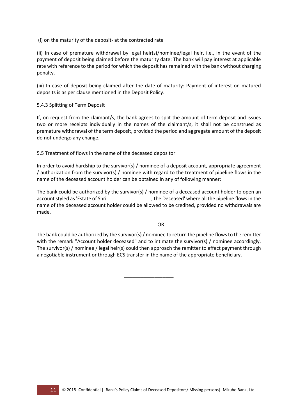(i) on the maturity of the deposit- at the contracted rate

(ii) In case of premature withdrawal by legal heir(s)/nominee/legal heir, i.e., in the event of the payment of deposit being claimed before the maturity date: The bank will pay interest at applicable rate with reference to the period for which the deposit has remained with the bank without charging penalty.

(iii) In case of deposit being claimed after the date of maturity: Payment of interest on matured deposits is as per clause mentioned in the Deposit Policy.

## 5.4.3 Splitting of Term Deposit

If, on request from the claimant/s, the bank agrees to split the amount of term deposit and issues two or more receipts individually in the names of the claimant/s, it shall not be construed as premature withdrawal of the term deposit, provided the period and aggregate amount of the deposit do not undergo any change.

5.5 Treatment of flows in the name of the deceased depositor

In order to avoid hardship to the survivor(s) / nominee of a deposit account, appropriate agreement / authorization from the survivor(s) / nominee with regard to the treatment of pipeline flows in the name of the deceased account holder can be obtained in any of following manner:

The bank could be authorized by the survivor(s) / nominee of a deceased account holder to open an account styled as 'Estate of Shri \_\_\_\_\_\_\_\_\_\_\_\_\_\_\_\_\_\_, the Deceased' where all the pipeline flows in the name of the deceased account holder could be allowed to be credited, provided no withdrawals are made.

**OR** Service of the state of the state of the state of the state of the state of the state of the state of the state of the state of the state of the state of the state of the state of the state of the state of the state o

The bank could be authorized by the survivor(s) / nominee to return the pipeline flows to the remitter with the remark "Account holder deceased" and to intimate the survivor(s) / nominee accordingly. The survivor(s) / nominee / legal heir(s) could then approach the remitter to effect payment through a negotiable instrument or through ECS transfer in the name of the appropriate beneficiary.

\_\_\_\_\_\_\_\_\_\_\_\_\_\_\_\_\_\_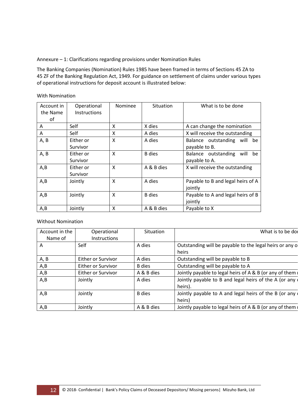Annexure – 1: Clarifications regarding provisions under Nomination Rules

The Banking Companies (Nomination) Rules 1985 have been framed in terms of Sections 45 ZA to 45 ZF of the Banking Regulation Act, 1949. For guidance on settlement of claims under various types of operational instructions for deposit account is illustrated below:

| Account in | Operational         | <b>Nominee</b>            | Situation     | What is to be done                |
|------------|---------------------|---------------------------|---------------|-----------------------------------|
| the Name   | <b>Instructions</b> |                           |               |                                   |
| οf         |                     |                           |               |                                   |
| A          | Self                | X                         | X dies        | A can change the nomination       |
| A          | Self                | X                         | A dies        | X will receive the outstanding    |
| A, B       | Either or           | $\boldsymbol{\mathsf{x}}$ | A dies        | Balance outstanding will be       |
|            | Survivor            |                           |               | payable to B.                     |
| A, B       | Either or           | X                         | <b>B</b> dies | Balance outstanding<br>will be    |
|            | Survivor            |                           |               | payable to A.                     |
| A, B       | Either or           | X                         | A & B dies    | X will receive the outstanding    |
|            | Survivor            |                           |               |                                   |
| A, B       | Jointly             | $\boldsymbol{\mathsf{x}}$ | A dies        | Payable to B and legal heirs of A |
|            |                     |                           |               | jointly                           |
| A, B       | Jointly             | X                         | <b>B</b> dies | Payable to A and legal heirs of B |
|            |                     |                           |               | jointly                           |
| A, B       | Jointly             | X                         | A & B dies    | Payable to X                      |

With Nomination

Without Nomination

| Account in the<br>Name of | Operational<br>Instructions | Situation     | What is to be do                                                 |
|---------------------------|-----------------------------|---------------|------------------------------------------------------------------|
| A                         | Self                        | A dies        | Outstanding will be payable to the legal heirs or any o<br>heirs |
| A, B                      | Either or Survivor          | A dies        | Outstanding will be payable to B                                 |
| A,B                       | Either or Survivor          | <b>B</b> dies | Outstanding will be payable to A                                 |
| A,B                       | Either or Survivor          | A & B dies    | Jointly payable to legal heirs of A & B (or any of them          |
| A,B                       | Jointly                     | A dies        | Jointly payable to B and legal heirs of the A (or any<br>heirs). |
| A,B                       | Jointly                     | <b>B</b> dies | Jointly payable to A and legal heirs of the B (or any<br>heirs)  |
| A,B                       | Jointly                     | A & B dies    | Jointly payable to legal heirs of A & B (or any of them          |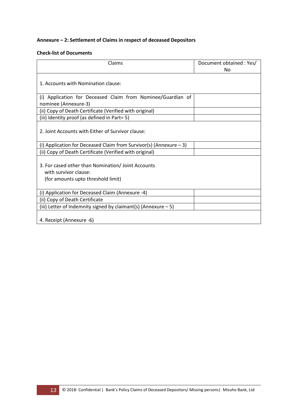# **Annexure – 2: Settlement of Claims in respect of deceased Depositors**

## **Check-list of Documents**

| Claims                                                                                                            | Document obtained: Yes/<br>Nο |
|-------------------------------------------------------------------------------------------------------------------|-------------------------------|
| 1. Accounts with Nomination clause:                                                                               |                               |
| (i) Application for Deceased Claim from Nominee/Guardian of<br>nominee (Annexure-3)                               |                               |
| (ii) Copy of Death Certificate (Verified with original)                                                           |                               |
| (iii) Identity proof (as defined in Part= 5)                                                                      |                               |
| 2. Joint Accounts with Fither of Survivor clause:                                                                 |                               |
| (i) Application for Deceased Claim from Survivor(s) (Annexure $-3$ )                                              |                               |
| (ii) Copy of Death Certificate (Verified with original)                                                           |                               |
| 3. For cased other than Nomination/ Joint Accounts<br>with survivor clause:<br>(for amounts upto threshold limit) |                               |
| (i) Application for Deceased Claim (Annexure -4)                                                                  |                               |
| (ii) Copy of Death Certificate                                                                                    |                               |
| (iii) Letter of Indemnity signed by claimant(s) (Annexure $-5$ )                                                  |                               |
| 4. Receipt (Annexure -6)                                                                                          |                               |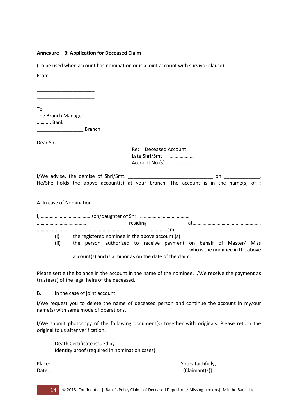#### **Annexure – 3: Application for Deceased Claim**

(To be used when account has nomination or is a joint account with survivor clause)

From

To The Branch Manager, ……….. Bank

\_\_\_\_\_\_\_\_\_\_\_\_\_\_\_\_\_\_\_\_\_ \_\_\_\_\_\_\_\_\_\_\_\_\_\_\_\_\_\_\_\_\_ \_\_\_\_\_\_\_\_\_\_\_\_\_\_\_\_\_\_\_\_\_

**Example 18** Branch

Dear Sir,

 Re: Deceased Account Late Shri/Smt ………………… Account No (s) ……………….…

| I/We advise, the demise of Shri/Smt. |  |  |  |                                                                                      |  |  |  |  |  |  |
|--------------------------------------|--|--|--|--------------------------------------------------------------------------------------|--|--|--|--|--|--|
|                                      |  |  |  | He/She holds the above account(s) at your branch. The account is in the name(s) of : |  |  |  |  |  |  |

\_\_\_\_\_\_\_\_\_\_\_\_\_\_\_\_\_\_\_\_\_\_\_\_\_\_\_\_\_\_\_\_\_\_\_\_\_\_\_\_\_\_\_\_\_\_\_\_\_\_\_\_\_\_\_\_\_\_\_\_\_\_

#### A. In case of Nomination

|      | residing                                                           |
|------|--------------------------------------------------------------------|
|      |                                                                    |
| (i)  | the registered nominee in the above account (s)                    |
| (ii) | the person authorized to receive payment on behalf of Master/ Miss |
|      | account(s) and is a minor as on the date of the claim.             |

Please settle the balance in the account in the name of the nominee. I/We receive the payment as trustee(s) of the legal heirs of the deceased.

B. In the case of joint account

I/We request you to delete the name of deceased person and continue the account in my/our name(s) with same mode of operations.

I/We submit photocopy of the following document(s) together with originals. Please return the original to us after verification.

| Death Certificate issued by                   |  |
|-----------------------------------------------|--|
| Identity proof (required in nomination cases) |  |
|                                               |  |

Place: Yours faithfully, Date : {Claimant(s)}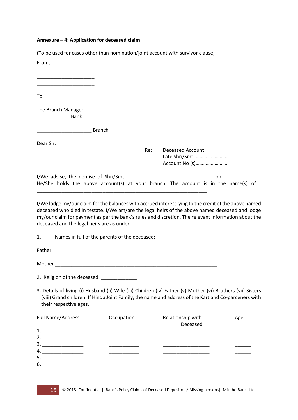#### **Annexure – 4: Application for deceased claim**

| (To be used for cases other than nomination/joint account with survivor clause) |     |                                                                                      |
|---------------------------------------------------------------------------------|-----|--------------------------------------------------------------------------------------|
| From,                                                                           |     |                                                                                      |
|                                                                                 |     |                                                                                      |
| To,                                                                             |     |                                                                                      |
| The Branch Manager<br><b>Bank</b>                                               |     |                                                                                      |
| <b>Branch</b>                                                                   |     |                                                                                      |
| Dear Sir,                                                                       |     |                                                                                      |
|                                                                                 | Re: | <b>Deceased Account</b><br>Late Shri/Smt.<br>Account No (s)                          |
|                                                                                 |     | on                                                                                   |
|                                                                                 |     | He/She holds the above account(s) at your branch. The account is in the name(s) of : |

I/We lodge my/our claim for the balances with accrued interest lying to the credit of the above named deceased who died in testate. I/We am/are the legal heirs of the above named deceased and lodge my/our claim for payment as per the bank's rules and discretion. The relevant information about the deceased and the legal heirs are as under:

1. Names in full of the parents of the deceased:

Father\_\_\_\_\_\_\_\_\_\_\_\_\_\_\_\_\_\_\_\_\_\_\_\_\_\_\_\_\_\_\_\_\_\_\_\_\_\_\_\_\_\_\_\_\_\_\_\_\_\_\_\_\_\_\_\_\_\_\_\_

Mother \_\_\_\_\_\_\_\_\_\_\_\_\_\_\_\_\_\_\_\_\_\_\_\_\_\_\_\_\_\_\_\_\_\_\_\_\_\_\_\_\_\_\_\_\_\_\_\_\_\_\_\_\_\_\_\_\_\_\_

2. Religion of the deceased: \_\_\_\_\_\_\_\_\_\_\_\_\_

3. Details of living (i) Husband (ii) Wife (iii) Children (iv) Father (v) Mother (vi) Brothers (vii) Sisters (viii) Grand children. If Hindu Joint Family, the name and address of the Kart and Co-parceners with their respective ages.

| Full Name/Address | Occupation | Relationship with<br>Deceased | Age |
|-------------------|------------|-------------------------------|-----|
| 1.                |            |                               |     |
| 2.                |            |                               |     |
| 3.                |            |                               |     |
| 4.                |            |                               |     |
| -5.               |            |                               |     |
| 6.                |            |                               |     |
|                   |            |                               |     |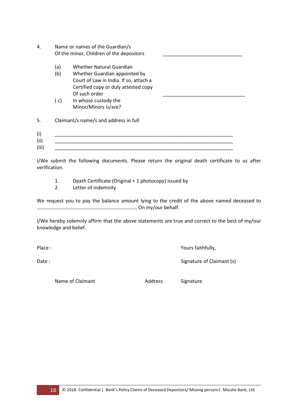- 4. Name or names of the Guardian/s Of the minor, Children of the depositors
	- (a) Whether Natural Guardian
	- (b) Whether Guardian appointed by Court of Law in India. If so, attach a Certified copy or duly attested copy Of such order
	- ( c) In whose custody the Minor/Minors is/are?

5. Claimant/s name/s and address in full

(i) \_\_\_\_\_\_\_\_\_\_\_\_\_\_\_\_\_\_\_\_\_\_\_\_\_\_\_\_\_\_\_\_\_\_\_\_\_\_\_\_\_\_\_\_\_\_\_\_\_\_\_\_\_\_\_\_\_\_\_\_\_\_\_\_\_  $(ii)$  $(iii)$ 

I/We submit the following documents. Please return the original death certificate to us after verification.

- 1. Death Certificate (Original + 1 photocopy) issued by
- 2. Letter of indemnity

We request you to pay the balance amount lying to the credit of the above named deceased to ……………………………………………………………………. On my/our behalf.

I/We hereby solemnly affirm that the above statements are true and correct to the best of my/our knowledge and belief.

Place : Yours faithfully,

Date : Signature of Claimant (s)

Name of Claimant **Address** Signature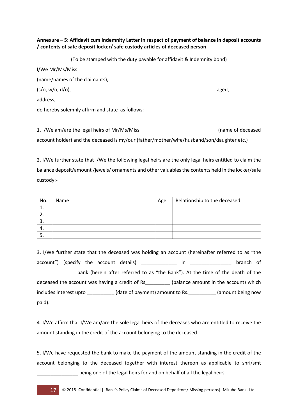# **Annexure – 5: Affidavit cum Indemnity Letter In respect of payment of balance in deposit accounts / contents of safe deposit locker/ safe custody articles of deceased person**

(To be stamped with the duty payable for affidavit & Indemnity bond) I/We Mr/Ms/Miss (name/names of the claimants), (s/o, w/o, d/o), aged, address, do hereby solemnly affirm and state as follows:

1. I/We am/are the legal heirs of Mr/Ms/Miss (name of deceased account holder) and the deceased is my/our (father/mother/wife/husband/son/daughter etc.)

2. I/We further state that I/We the following legal heirs are the only legal heirs entitled to claim the balance deposit/amount /jewels/ ornaments and other valuables the contents held in the locker/safe custody:-

| No. | Name | Age | Relationship to the deceased |
|-----|------|-----|------------------------------|
| ᅩ.  |      |     |                              |
| ٠.  |      |     |                              |
| э.  |      |     |                              |
| 4.  |      |     |                              |
| J.  |      |     |                              |

3. I/We further state that the deceased was holding an account (hereinafter referred to as "the account") (specify the account details) \_\_\_\_\_\_\_\_\_\_\_\_ in \_\_\_\_\_\_\_\_\_\_\_\_\_\_ branch of \_\_\_\_\_\_\_\_\_\_\_\_\_\_ bank (herein after referred to as "the Bank"). At the time of the death of the deceased the account was having a credit of Rs\_\_\_\_\_\_\_\_\_ (balance amount in the account) which includes interest upto \_\_\_\_\_\_\_\_\_\_ (date of payment) amount to Rs.\_\_\_\_\_\_\_\_\_\_ (amount being now paid).

4. I/We affirm that I/We am/are the sole legal heirs of the deceases who are entitled to receive the amount standing in the credit of the account belonging to the deceased.

5. I/We have requested the bank to make the payment of the amount standing in the credit of the account belonging to the deceased together with interest thereon as applicable to shri/smt \_\_\_\_\_\_\_\_\_\_\_\_\_\_\_ being one of the legal heirs for and on behalf of all the legal heirs.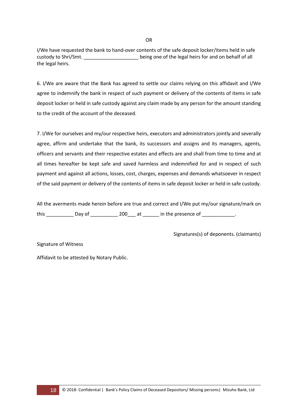I/We have requested the bank to hand-over contents of the safe deposit locker/items held in safe custody to Shri/Smt. \_\_\_\_\_\_\_\_\_\_\_\_\_\_\_\_\_\_\_\_ being one of the legal heirs for and on behalf of all the legal heirs.

6. I/We are aware that the Bank has agreed to settle our claims relying on this affidavit and I/We agree to indemnify the bank in respect of such payment or delivery of the contents of items in safe deposit locker or held in safe custody against any claim made by any person for the amount standing to the credit of the account of the deceased.

7. I/We for ourselves and my/our respective heirs, executors and administrators jointly and severally agree, affirm and undertake that the bank, its successors and assigns and its managers, agents, officers and servants and their respective estates and effects are and shall from time to time and at all times hereafter be kept safe and saved harmless and indemnified for and in respect of such payment and against all actions, losses, cost, charges, expenses and demands whatsoever in respect of the said payment or delivery of the contents of items in safe deposit locker or held in safe custody.

All the averments made herein before are true and correct and I/We put my/our signature/mark on this \_\_\_\_\_\_\_\_\_\_\_\_\_\_ Day of \_\_\_\_\_\_\_\_\_\_\_\_\_\_ 200\_\_\_\_ at \_\_\_\_\_\_\_\_ in the presence of \_\_\_\_\_\_\_\_\_\_\_\_\_\_.

Signatures(s) of deponents. (claimants)

Signature of Witness

Affidavit to be attested by Notary Public.